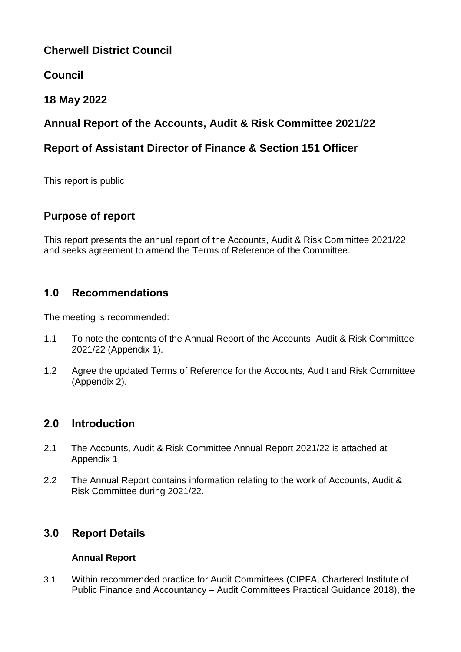# **Cherwell District Council**

# **Council**

# **18 May 2022**

# **Annual Report of the Accounts, Audit & Risk Committee 2021/22**

# **Report of Assistant Director of Finance & Section 151 Officer**

This report is public

# **Purpose of report**

This report presents the annual report of the Accounts, Audit & Risk Committee 2021/22 and seeks agreement to amend the Terms of Reference of the Committee.

# **1.0 Recommendations**

The meeting is recommended:

- 1.1 To note the contents of the Annual Report of the Accounts, Audit & Risk Committee 2021/22 (Appendix 1).
- 1.2 Agree the updated Terms of Reference for the Accounts, Audit and Risk Committee (Appendix 2).

## **2.0 Introduction**

- 2.1 The Accounts, Audit & Risk Committee Annual Report 2021/22 is attached at Appendix 1.
- 2.2 The Annual Report contains information relating to the work of Accounts, Audit & Risk Committee during 2021/22.

## **3.0 Report Details**

#### **Annual Report**

3.1 Within recommended practice for Audit Committees (CIPFA, Chartered Institute of Public Finance and Accountancy – Audit Committees Practical Guidance 2018), the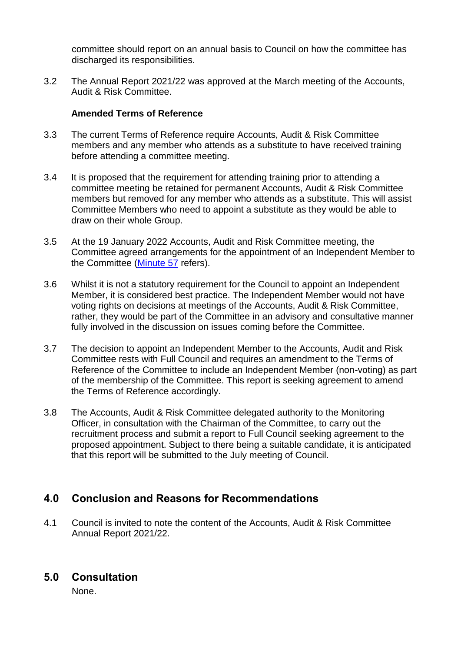committee should report on an annual basis to Council on how the committee has discharged its responsibilities.

3.2 The Annual Report 2021/22 was approved at the March meeting of the Accounts, Audit & Risk Committee.

#### **Amended Terms of Reference**

- 3.3 The current Terms of Reference require Accounts, Audit & Risk Committee members and any member who attends as a substitute to have received training before attending a committee meeting.
- 3.4 It is proposed that the requirement for attending training prior to attending a committee meeting be retained for permanent Accounts, Audit & Risk Committee members but removed for any member who attends as a substitute. This will assist Committee Members who need to appoint a substitute as they would be able to draw on their whole Group.
- 3.5 At the 19 January 2022 Accounts, Audit and Risk Committee meeting, the Committee agreed arrangements for the appointment of an Independent Member to the Committee [\(Minute 57](https://modgov.cherwell.gov.uk/ieListDocuments.aspx?CId=118&MId=3519&Ver=4) refers).
- 3.6 Whilst it is not a statutory requirement for the Council to appoint an Independent Member, it is considered best practice. The Independent Member would not have voting rights on decisions at meetings of the Accounts, Audit & Risk Committee, rather, they would be part of the Committee in an advisory and consultative manner fully involved in the discussion on issues coming before the Committee.
- 3.7 The decision to appoint an Independent Member to the Accounts, Audit and Risk Committee rests with Full Council and requires an amendment to the Terms of Reference of the Committee to include an Independent Member (non-voting) as part of the membership of the Committee. This report is seeking agreement to amend the Terms of Reference accordingly.
- 3.8 The Accounts, Audit & Risk Committee delegated authority to the Monitoring Officer, in consultation with the Chairman of the Committee, to carry out the recruitment process and submit a report to Full Council seeking agreement to the proposed appointment. Subject to there being a suitable candidate, it is anticipated that this report will be submitted to the July meeting of Council.

## **4.0 Conclusion and Reasons for Recommendations**

4.1 Council is invited to note the content of the Accounts, Audit & Risk Committee Annual Report 2021/22.

## **5.0 Consultation**

None.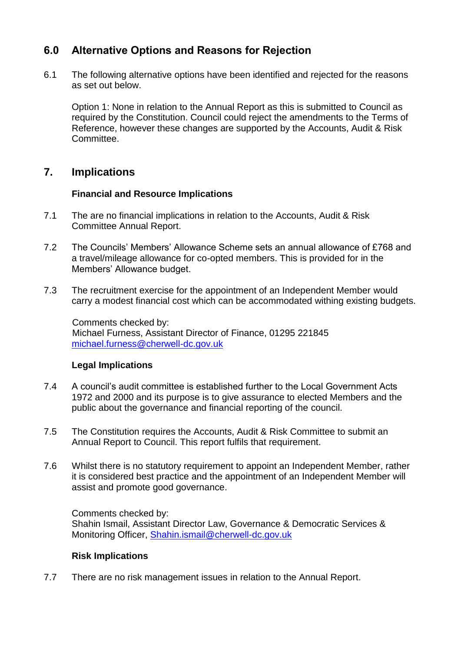## **6.0 Alternative Options and Reasons for Rejection**

6.1 The following alternative options have been identified and rejected for the reasons as set out below.

Option 1: None in relation to the Annual Report as this is submitted to Council as required by the Constitution. Council could reject the amendments to the Terms of Reference, however these changes are supported by the Accounts, Audit & Risk Committee.

### **7. Implications**

#### **Financial and Resource Implications**

- 7.1 The are no financial implications in relation to the Accounts, Audit & Risk Committee Annual Report.
- 7.2 The Councils' Members' Allowance Scheme sets an annual allowance of £768 and a travel/mileage allowance for co-opted members. This is provided for in the Members' Allowance budget.
- 7.3 The recruitment exercise for the appointment of an Independent Member would carry a modest financial cost which can be accommodated withing existing budgets.

Comments checked by: Michael Furness, Assistant Director of Finance, 01295 221845 [michael.furness@cherwell-dc.gov.uk](mailto:michael.furness@cherwell-dc.gov.uk)

#### **Legal Implications**

- 7.4 A council's audit committee is established further to the Local Government Acts 1972 and 2000 and its purpose is to give assurance to elected Members and the public about the governance and financial reporting of the council.
- 7.5 The Constitution requires the Accounts, Audit & Risk Committee to submit an Annual Report to Council. This report fulfils that requirement.
- 7.6 Whilst there is no statutory requirement to appoint an Independent Member, rather it is considered best practice and the appointment of an Independent Member will assist and promote good governance.

Comments checked by: Shahin Ismail, Assistant Director Law, Governance & Democratic Services & Monitoring Officer, [Shahin.ismail@cherwell-dc.gov.uk](mailto:Shahin.ismail@cherwell-dc.gov.uk)

#### **Risk Implications**

7.7 There are no risk management issues in relation to the Annual Report.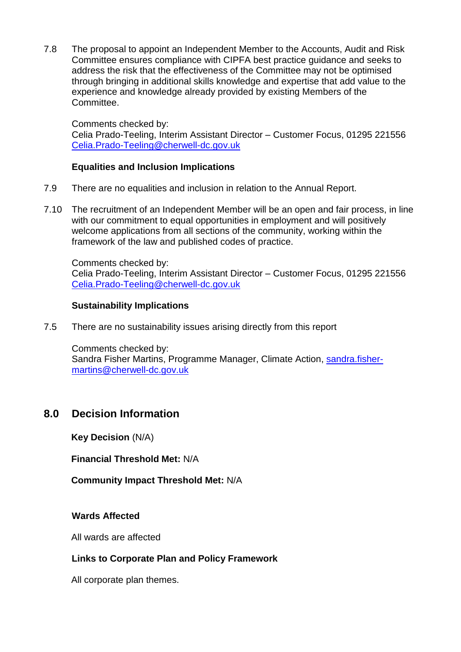7.8 The proposal to appoint an Independent Member to the Accounts, Audit and Risk Committee ensures compliance with CIPFA best practice guidance and seeks to address the risk that the effectiveness of the Committee may not be optimised through bringing in additional skills knowledge and expertise that add value to the experience and knowledge already provided by existing Members of the Committee.

Comments checked by:

Celia Prado-Teeling, Interim Assistant Director – Customer Focus, 01295 221556 [Celia.Prado-Teeling@cherwell-dc.gov.uk](mailto:Celia.Prado-Teeling@cherwell-dc.gov.uk)

#### **Equalities and Inclusion Implications**

- 7.9 There are no equalities and inclusion in relation to the Annual Report.
- 7.10 The recruitment of an Independent Member will be an open and fair process, in line with our commitment to equal opportunities in employment and will positively welcome applications from all sections of the community, working within the framework of the law and published codes of practice.

Comments checked by: Celia Prado-Teeling, Interim Assistant Director – Customer Focus, 01295 221556 [Celia.Prado-Teeling@cherwell-dc.gov.uk](mailto:Celia.Prado-Teeling@cherwell-dc.gov.uk)

#### **Sustainability Implications**

7.5 There are no sustainability issues arising directly from this report

Comments checked by: Sandra Fisher Martins, Programme Manager, Climate Action, [sandra.fisher](mailto:sandra.fisher-martins@cherwell-dc.gov.uk)[martins@cherwell-dc.gov.uk](mailto:sandra.fisher-martins@cherwell-dc.gov.uk)

## **8.0 Decision Information**

**Key Decision** (N/A)

**Financial Threshold Met:** N/A

**Community Impact Threshold Met:** N/A

#### **Wards Affected**

All wards are affected

#### **Links to Corporate Plan and Policy Framework**

All corporate plan themes.